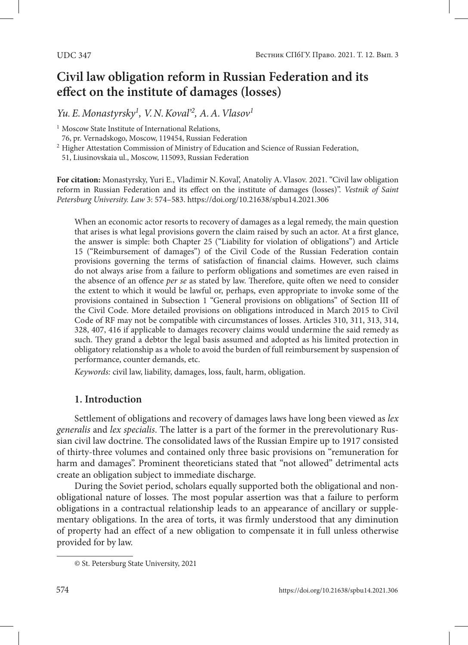# **Civil law obligation reform in Russian Federation and its effect on the institute of damages (losses)**

*Yu.E.Monastyrsky1 , V.N.Koval'2 , A.A.Vlasov1*

<sup>1</sup> Moscow State Institute of International Relations,

76, pr. Vernadskogo, Moscow, 119454, Russian Federation

<sup>2</sup> Higher Attestation Commission of Ministry of Education and Science of Russian Federation,

51, Liusinovskaia ul., Moscow, 115093, Russian Federation

**For citation:** Monastyrsky, Yuri E., Vladimir N.Koval', Anatoliy A.Vlasov. 2021. "Civil law obligation reform in Russian Federation and its effect on the institute of damages (losses)". *Vestnik of Saint Petersburg University. Law* 3: 574–583. https://doi.org/10.21638/spbu14.2021.306

When an economic actor resorts to recovery of damages as a legal remedy, the main question that arises is what legal provisions govern the claim raised by such an actor. At a first glance, the answer is simple: both Chapter 25 ("Liability for violation of obligations") and Article 15 ("Reimbursement of damages") of the Civil Code of the Russian Federation contain provisions governing the terms of satisfaction of financial claims. However, such claims do not always arise from a failure to perform obligations and sometimes are even raised in the absence of an offence *per se* as stated by law. Therefore, quite often we need to consider the extent to which it would be lawful or, perhaps, even appropriate to invoke some of the provisions contained in Subsection 1 "General provisions on obligations" of Section III of the Civil Code. More detailed provisions on obligations introduced in March 2015 to Civil Code of RF may not be compatible with circumstances of losses. Articles 310, 311, 313, 314, 328, 407, 416 if applicable to damages recovery claims would undermine the said remedy as such. They grand a debtor the legal basis assumed and adopted as his limited protection in obligatory relationship as a whole to avoid the burden of full reimbursement by suspension of performance, counter demands, etc.

*Keywords:* civil law, liability, damages, loss, fault, harm, obligation.

## **1. Introduction**

Settlement of obligations and recovery of damages laws have long been viewed as *lex generalis* and *lex specialis*. The latter is a part of the former in the prerevolutionary Russian civil law doctrine. The consolidated laws of the Russian Empire up to 1917 consisted of thirty-three volumes and contained only three basic provisions on "remuneration for harm and damages". Prominent theoreticians stated that "not allowed" detrimental acts create an obligation subject to immediate discharge.

During the Soviet period, scholars equally supported both the obligational and nonobligational nature of losses. The most popular assertion was that a failure to perform obligations in a contractual relationship leads to an appearance of ancillary or supplementary obligations. In the area of torts, it was firmly understood that any diminution of property had an effect of a new obligation to compensate it in full unless otherwise provided for by law.

<sup>©</sup> St. Petersburg State University, 2021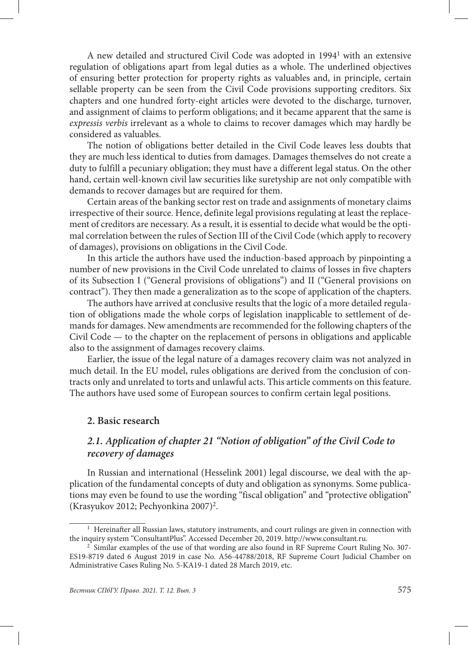A new detailed and structured Civil Code was adopted in 1994<sup>1</sup> with an extensive regulation of obligations apart from legal duties as a whole. The underlined objectives of ensuring better protection for property rights as valuables and, in principle, certain sellable property can be seen from the Civil Code provisions supporting creditors. Six chapters and one hundred forty-eight articles were devoted to the discharge, turnover, and assignment of claims to perform obligations; and it became apparent that the same is *expressis verbis* irrelevant as a whole to claims to recover damages which may hardly be considered as valuables.

The notion of obligations better detailed in the Civil Code leaves less doubts that they are much less identical to duties from damages. Damages themselves do not create a duty to fulfill a pecuniary obligation; they must have a different legal status. On the other hand, certain well-known civil law securities like suretyship are not only compatible with demands to recover damages but are required for them.

Certain areas of the banking sector rest on trade and assignments of monetary claims irrespective of their source. Hence, definite legal provisions regulating at least the replacement of creditors are necessary. As a result, it is essential to decide what would be the optimal correlation between the rules of Section III of the Civil Code (which apply to recovery of damages), provisions on obligations in the Civil Code.

In this article the authors have used the induction-based approach by pinpointing a number of new provisions in the Civil Code unrelated to claims of losses in five chapters of its Subsection I ("General provisions of obligations") and II ("General provisions on contract"). They then made a generalization as to the scope of application of the chapters.

The authors have arrived at conclusive results that the logic of a more detailed regulation of obligations made the whole corps of legislation inapplicable to settlement of demands for damages. New amendments are recommended for the following chapters of the Civil Code — to the chapter on the replacement of persons in obligations and applicable also to the assignment of damages recovery claims.

Earlier, the issue of the legal nature of a damages recovery claim was not analyzed in much detail. In the EU model, rules obligations are derived from the conclusion of contracts only and unrelated to torts and unlawful acts. This article comments on this feature. The authors have used some of European sources to confirm certain legal positions.

#### **2. Basic research**

# *2.1. Application of chapter 21 "Notion of obligation" of the Civil Code to recovery of damages*

In Russian and international (Hesselink 2001) legal discourse, we deal with the application of the fundamental concepts of duty and obligation as synonyms. Some publications may even be found to use the wording "fiscal obligation" and "protective obligation" (Krasyukov 2012; Pechyonkina 2007)<sup>2</sup>.

 $1$  Hereinafter all Russian laws, statutory instruments, and court rulings are given in connection with the inquiry system "ConsultantPlus". Accessed December 20, 2019. http://www.consultant.ru.

<sup>2</sup> Similar examples of the use of that wording are also found in RF Supreme Court Ruling No. 307- ES19-8719 dated 6 August 2019 in case No. A56-44788/2018, RF Supreme Court Judicial Chamber on Administrative Cases Ruling No. 5-KA19-1 dated 28 March 2019, etc.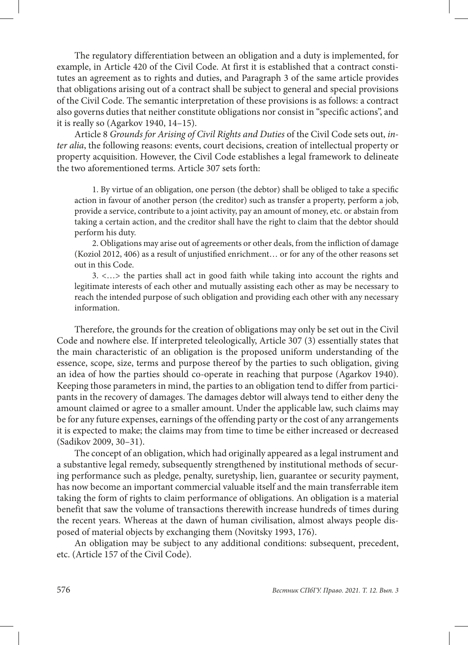The regulatory differentiation between an obligation and a duty is implemented, for example, in Article 420 of the Civil Code. At first it is established that a contract constitutes an agreement as to rights and duties, and Paragraph 3 of the same article provides that obligations arising out of a contract shall be subject to general and special provisions of the Civil Code. The semantic interpretation of these provisions is as follows: a contract also governs duties that neither constitute obligations nor consist in "specific actions", and it is really so (Agarkov 1940, 14–15).

Article 8 *Grounds for Arising of Civil Rights and Duties* of the Civil Code sets out, *inter alia*, the following reasons: events, court decisions, creation of intellectual property or property acquisition. However, the Civil Code establishes a legal framework to delineate the two aforementioned terms. Article 307 sets forth:

1. By virtue of an obligation, one person (the debtor) shall be obliged to take a specific action in favour of another person (the creditor) such as transfer a property, perform a job, provide a service, contribute to a joint activity, pay an amount of money, etc. or abstain from taking a certain action, and the creditor shall have the right to claim that the debtor should perform his duty.

2. Obligations may arise out of agreements or other deals, from the infliction of damage (Koziol 2012, 406) as a result of unjustified enrichment… or for any of the other reasons set out in this Code.

3. <…> the parties shall act in good faith while taking into account the rights and legitimate interests of each other and mutually assisting each other as may be necessary to reach the intended purpose of such obligation and providing each other with any necessary information.

Therefore, the grounds for the creation of obligations may only be set out in the Civil Code and nowhere else. If interpreted teleologically, Article 307 (3) essentially states that the main characteristic of an obligation is the proposed uniform understanding of the essence, scope, size, terms and purpose thereof by the parties to such obligation, giving an idea of how the parties should co-operate in reaching that purpose (Agarkov 1940). Keeping those parameters in mind, the parties to an obligation tend to differ from participants in the recovery of damages. The damages debtor will always tend to either deny the amount claimed or agree to a smaller amount. Under the applicable law, such claims may be for any future expenses, earnings of the offending party or the cost of any arrangements it is expected to make; the claims may from time to time be either increased or decreased (Sadikov 2009, 30–31).

The concept of an obligation, which had originally appeared as a legal instrument and a substantive legal remedy, subsequently strengthened by institutional methods of securing performance such as pledge, penalty, suretyship, lien, guarantee or security payment, has now become an important commercial valuable itself and the main transferrable item taking the form of rights to claim performance of obligations. An obligation is a material benefit that saw the volume of transactions therewith increase hundreds of times during the recent years. Whereas at the dawn of human civilisation, almost always people disposed of material objects by exchanging them (Novitsky 1993, 176).

An obligation may be subject to any additional conditions: subsequent, precedent, etc. (Article 157 of the Civil Code).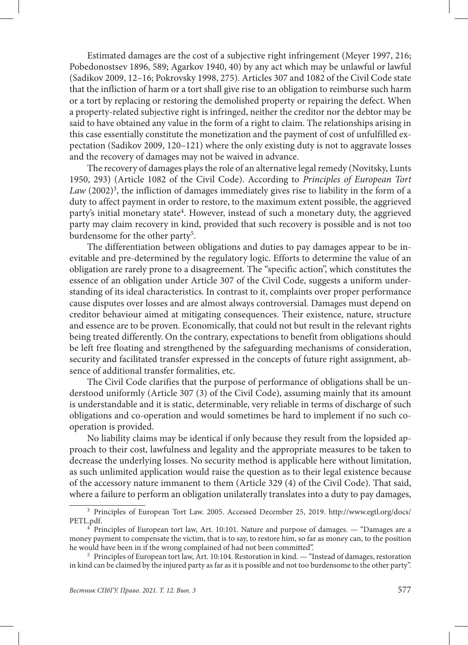Estimated damages are the cost of a subjective right infringement (Meyer 1997, 216; Pobedonostsev 1896, 589; Agarkov 1940, 40) by any act which may be unlawful or lawful (Sadikov 2009, 12–16; Pokrovsky 1998, 275). Articles 307 and 1082 of the Civil Code state that the infliction of harm or a tort shall give rise to an obligation to reimburse such harm or a tort by replacing or restoring the demolished property or repairing the defect. When a property-related subjective right is infringed, neither the creditor nor the debtor may be said to have obtained any value in the form of a right to claim. The relationships arising in this case essentially constitute the monetization and the payment of cost of unfulfilled expectation (Sadikov 2009, 120–121) where the only existing duty is not to aggravate losses and the recovery of damages may not be waived in advance.

The recovery of damages plays the role of an alternative legal remedy (Novitsky, Lunts 1950, 293) (Article 1082 of the Civil Code). According to *Principles of European Tort*  Law (2002)<sup>3</sup>, the infliction of damages immediately gives rise to liability in the form of a duty to affect payment in order to restore, to the maximum extent possible, the aggrieved party's initial monetary state<sup>4</sup>. However, instead of such a monetary duty, the aggrieved party may claim recovery in kind, provided that such recovery is possible and is not too burdensome for the other party<sup>5</sup>.

The differentiation between obligations and duties to pay damages appear to be inevitable and pre-determined by the regulatory logic. Efforts to determine the value of an obligation are rarely prone to a disagreement. The "specific action", which constitutes the essence of an obligation under Article 307 of the Civil Code, suggests a uniform understanding of its ideal characteristics. In contrast to it, complaints over proper performance cause disputes over losses and are almost always controversial. Damages must depend on creditor behaviour aimed at mitigating consequences. Their existence, nature, structure and essence are to be proven. Economically, that could not but result in the relevant rights being treated differently. On the contrary, expectations to benefit from obligations should be left free floating and strengthened by the safeguarding mechanisms of consideration, security and facilitated transfer expressed in the concepts of future right assignment, absence of additional transfer formalities, etc.

The Civil Code clarifies that the purpose of performance of obligations shall be understood uniformly (Article 307 (3) of the Civil Code), assuming mainly that its amount is understandable and it is static, determinable, very reliable in terms of discharge of such obligations and co-operation and would sometimes be hard to implement if no such cooperation is provided.

No liability claims may be identical if only because they result from the lopsided approach to their cost, lawfulness and legality and the appropriate measures to be taken to decrease the underlying losses. No security method is applicable here without limitation, as such unlimited application would raise the question as to their legal existence because of the accessory nature immanent to them (Article 329 (4) of the Civil Code). That said, where a failure to perform an obligation unilaterally translates into a duty to pay damages,

<sup>3</sup> Principles of European Tort Law. 2005. Accessed December 25, 2019. http://www.egtl.org/docs/ PETL.pdf.

 $^{4}$  Principles of European tort law, Art. 10:101. Nature and purpose of damages. — "Damages are a money payment to compensate the victim, that is to say, to restore him, so far as money can, to the position he would have been in if the wrong complained of had not been committed".

<sup>5</sup> Principles of European tort law, Art. 10:104. Restoration in kind. — "Instead of damages, restoration in kind can be claimed by the injured party as far as it is possible and not too burdensome to the other party".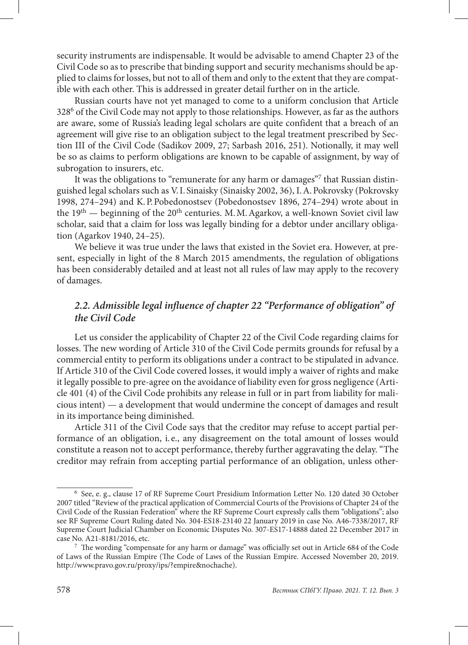security instruments are indispensable. It would be advisable to amend Chapter 23 of the Civil Code so as to prescribe that binding support and security mechanisms should be applied to claims for losses, but not to all of them and only to the extent that they are compatible with each other. This is addressed in greater detail further on in the article.

Russian courts have not yet managed to come to a uniform conclusion that Article 328<sup>6</sup> of the Civil Code may not apply to those relationships. However, as far as the authors are aware, some of Russia's leading legal scholars are quite confident that a breach of an agreement will give rise to an obligation subject to the legal treatment prescribed by Section III of the Civil Code (Sadikov 2009, 27; Sarbash 2016, 251). Notionally, it may well be so as claims to perform obligations are known to be capable of assignment, by way of subrogation to insurers, etc.

It was the obligations to "remunerate for any harm or damages"<sup>7</sup> that Russian distinguished legal scholars such as V.I. Sinaisky (Sinaisky 2002, 36), I.A.Pokrovsky (Pokrovsky 1998, 274–294) and K.P.Pobedonostsev (Pobedonostsev 1896, 274–294) wrote about in the  $19<sup>th</sup>$  — beginning of the  $20<sup>th</sup>$  centuries. M.M. Agarkov, a well-known Soviet civil law scholar, said that a claim for loss was legally binding for a debtor under ancillary obligation (Agarkov 1940, 24–25).

We believe it was true under the laws that existed in the Soviet era. However, at present, especially in light of the 8 March 2015 amendments, the regulation of obligations has been considerably detailed and at least not all rules of law may apply to the recovery of damages.

# *2.2. Admissible legal influence of chapter 22 "Performance of obligation" of the Civil Code*

Let us consider the applicability of Chapter 22 of the Civil Code regarding claims for losses. The new wording of Article 310 of the Civil Code permits grounds for refusal by a commercial entity to perform its obligations under a contract to be stipulated in advance. If Article 310 of the Civil Code covered losses, it would imply a waiver of rights and make it legally possible to pre-agree on the avoidance of liability even for gross negligence (Article 401 (4) of the Civil Code prohibits any release in full or in part from liability for malicious intent) — a development that would undermine the concept of damages and result in its importance being diminished.

Article 311 of the Civil Code says that the creditor may refuse to accept partial performance of an obligation, i. e., any disagreement on the total amount of losses would constitute a reason not to accept performance, thereby further aggravating the delay. "The creditor may refrain from accepting partial performance of an obligation, unless other-

<sup>6</sup> See, e. g., clause 17 of RF Supreme Court Presidium Information Letter No. 120 dated 30 October 2007 titled "Review of the practical application of Commercial Courts of the Provisions of Chapter 24 of the Civil Code of the Russian Federation" where the RF Supreme Court expressly calls them "obligations"; also see RF Supreme Court Ruling dated No. 304-ES18-23140 22 January 2019 in case No. A46-7338/2017, RF Supreme Court Judicial Chamber on Economic Disputes No. 307-ES17-14888 dated 22 December 2017 in case No. A21-8181/2016, etc.

<sup>7</sup> The wording "compensate for any harm or damage" was officially set out in Article 684 of the Code of Laws of the Russian Empire (The Code of Laws of the Russian Empire. Accessed November 20, 2019. http://www.pravo.gov.ru/proxy/ips/?empire&nochache).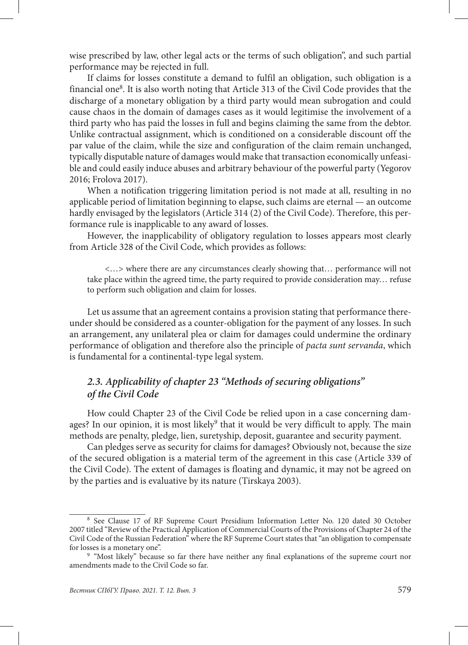wise prescribed by law, other legal acts or the terms of such obligation", and such partial performance may be rejected in full.

If claims for losses constitute a demand to fulfil an obligation, such obligation is a financial one<sup>8</sup>. It is also worth noting that Article 313 of the Civil Code provides that the discharge of a monetary obligation by a third party would mean subrogation and could cause chaos in the domain of damages cases as it would legitimise the involvement of a third party who has paid the losses in full and begins claiming the same from the debtor. Unlike contractual assignment, which is conditioned on a considerable discount off the par value of the claim, while the size and configuration of the claim remain unchanged, typically disputable nature of damages would make that transaction economically unfeasible and could easily induce abuses and arbitrary behaviour of the powerful party (Yegorov 2016; Frolova 2017).

When a notification triggering limitation period is not made at all, resulting in no applicable period of limitation beginning to elapse, such claims are eternal — an outcome hardly envisaged by the legislators (Article 314 (2) of the Civil Code). Therefore, this performance rule is inapplicable to any award of losses.

However, the inapplicability of obligatory regulation to losses appears most clearly from Article 328 of the Civil Code, which provides as follows:

<…> where there are any circumstances clearly showing that… performance will not take place within the agreed time, the party required to provide consideration may… refuse to perform such obligation and claim for losses.

Let us assume that an agreement contains a provision stating that performance thereunder should be considered as a counter-obligation for the payment of any losses. In such an arrangement, any unilateral plea or claim for damages could undermine the ordinary performance of obligation and therefore also the principle of *pacta sunt servanda*, which is fundamental for a continental-type legal system.

## *2.3. Applicability of chapter 23 "Methods of securing obligations" of the Civil Code*

How could Chapter 23 of the Civil Code be relied upon in a case concerning damages? In our opinion, it is most likely<sup>9</sup> that it would be very difficult to apply. The main methods are penalty, pledge, lien, suretyship, deposit, guarantee and security payment.

Can pledges serve as security for claims for damages? Obviously not, because the size of the secured obligation is a material term of the agreement in this case (Article 339 of the Civil Code). The extent of damages is floating and dynamic, it may not be agreed on by the parties and is evaluative by its nature (Tirskaya 2003).

<sup>&</sup>lt;sup>8</sup> See Clause 17 of RF Supreme Court Presidium Information Letter No. 120 dated 30 October 2007 titled "Review of the Practical Application of Commercial Courts of the Provisions of Chapter 24 of the Civil Code of the Russian Federation" where the RF Supreme Court states that "an obligation to compensate for losses is a monetary one".

<sup>9</sup> "Most likely" because so far there have neither any final explanations of the supreme court nor amendments made to the Civil Code so far.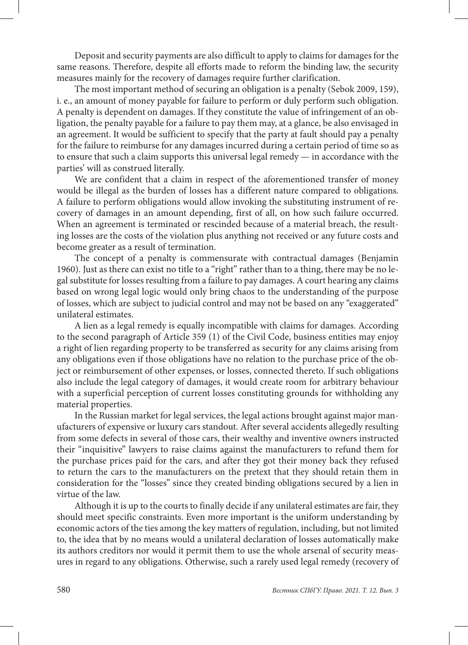Deposit and security payments are also difficult to apply to claims for damages for the same reasons. Therefore, despite all efforts made to reform the binding law, the security measures mainly for the recovery of damages require further clarification.

The most important method of securing an obligation is a penalty (Sebok 2009, 159), i. e., an amount of money payable for failure to perform or duly perform such obligation. A penalty is dependent on damages. If they constitute the value of infringement of an obligation, the penalty payable for a failure to pay them may, at a glance, be also envisaged in an agreement. It would be sufficient to specify that the party at fault should pay a penalty for the failure to reimburse for any damages incurred during a certain period of time so as to ensure that such a claim supports this universal legal remedy  $-$  in accordance with the parties' will as construed literally.

We are confident that a claim in respect of the aforementioned transfer of money would be illegal as the burden of losses has a different nature compared to obligations. A failure to perform obligations would allow invoking the substituting instrument of recovery of damages in an amount depending, first of all, on how such failure occurred. When an agreement is terminated or rescinded because of a material breach, the resulting losses are the costs of the violation plus anything not received or any future costs and become greater as a result of termination.

The concept of a penalty is commensurate with contractual damages (Benjamin 1960). Just as there can exist no title to a "right" rather than to a thing, there may be no legal substitute for losses resulting from a failure to pay damages. A court hearing any claims based on wrong legal logic would only bring chaos to the understanding of the purpose of losses, which are subject to judicial control and may not be based on any "exaggerated" unilateral estimates.

A lien as a legal remedy is equally incompatible with claims for damages. According to the second paragraph of Article 359 (1) of the Civil Code, business entities may enjoy a right of lien regarding property to be transferred as security for any claims arising from any obligations even if those obligations have no relation to the purchase price of the object or reimbursement of other expenses, or losses, connected thereto. If such obligations also include the legal category of damages, it would create room for arbitrary behaviour with a superficial perception of current losses constituting grounds for withholding any material properties.

In the Russian market for legal services, the legal actions brought against major manufacturers of expensive or luxury cars standout. After several accidents allegedly resulting from some defects in several of those cars, their wealthy and inventive owners instructed their "inquisitive" lawyers to raise claims against the manufacturers to refund them for the purchase prices paid for the cars, and after they got their money back they refused to return the cars to the manufacturers on the pretext that they should retain them in consideration for the "losses" since they created binding obligations secured by a lien in virtue of the law.

Although it is up to the courts to finally decide if any unilateral estimates are fair, they should meet specific constraints. Even more important is the uniform understanding by economic actors of the ties among the key matters of regulation, including, but not limited to, the idea that by no means would a unilateral declaration of losses automatically make its authors creditors nor would it permit them to use the whole arsenal of security measures in regard to any obligations. Otherwise, such a rarely used legal remedy (recovery of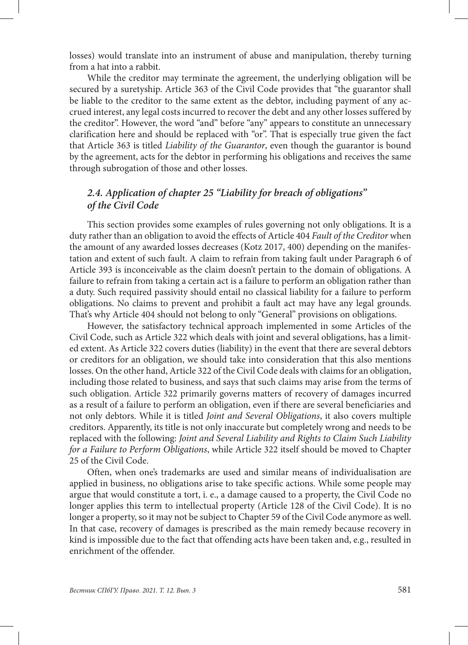losses) would translate into an instrument of abuse and manipulation, thereby turning from a hat into a rabbit.

While the creditor may terminate the agreement, the underlying obligation will be secured by a suretyship. Article 363 of the Civil Code provides that "the guarantor shall be liable to the creditor to the same extent as the debtor, including payment of any accrued interest, any legal costs incurred to recover the debt and any other losses suffered by the creditor". However, the word "and" before "any" appears to constitute an unnecessary clarification here and should be replaced with "or". That is especially true given the fact that Article 363 is titled *Liability of the Guarantor*, even though the guarantor is bound by the agreement, acts for the debtor in performing his obligations and receives the same through subrogation of those and other losses.

## *2.4. Application of chapter 25 "Liability for breach of obligations" of the Civil Code*

This section provides some examples of rules governing not only obligations. It is a duty rather than an obligation to avoid the effects of Article 404 *Fault of the Creditor* when the amount of any awarded losses decreases (Kotz 2017, 400) depending on the manifestation and extent of such fault. A claim to refrain from taking fault under Paragraph 6 of Article 393 is inconceivable as the claim doesn't pertain to the domain of obligations. A failure to refrain from taking a certain act is a failure to perform an obligation rather than a duty. Such required passivity should entail no classical liability for a failure to perform obligations. No claims to prevent and prohibit a fault act may have any legal grounds. That's why Article 404 should not belong to only "General" provisions on obligations.

However, the satisfactory technical approach implemented in some Articles of the Civil Code, such as Article 322 which deals with joint and several obligations, has a limited extent. As Article 322 covers duties (liability) in the event that there are several debtors or creditors for an obligation, we should take into consideration that this also mentions losses. On the other hand, Article 322 of the Civil Code deals with claims for an obligation, including those related to business, and says that such claims may arise from the terms of such obligation. Article 322 primarily governs matters of recovery of damages incurred as a result of a failure to perform an obligation, even if there are several beneficiaries and not only debtors. While it is titled *Joint and Several Obligations*, it also covers multiple creditors. Apparently, its title is not only inaccurate but completely wrong and needs to be replaced with the following: *Joint and Several Liability and Rights to Claim Such Liability for a Failure to Perform Obligations*, while Article 322 itself should be moved to Chapter 25 of the Civil Code.

Often, when one's trademarks are used and similar means of individualisation are applied in business, no obligations arise to take specific actions. While some people may argue that would constitute a tort, i. e., a damage caused to a property, the Civil Code no longer applies this term to intellectual property (Article 128 of the Civil Code). It is no longer a property, so it may not be subject to Chapter 59 of the Civil Code anymore as well. In that case, recovery of damages is prescribed as the main remedy because recovery in kind is impossible due to the fact that offending acts have been taken and, e.g., resulted in enrichment of the offender.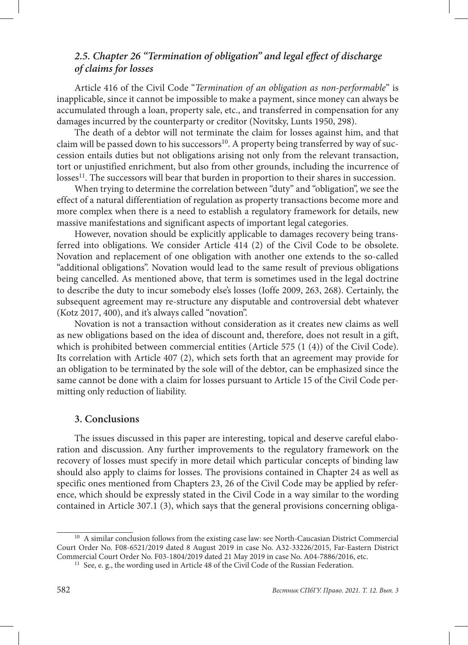# *2.5. Chapter 26 "Termination of obligation" and legal effect of discharge of claims for losses*

Article 416 of the Civil Code "*Termination of an obligation as non-performable*" is inapplicable, since it cannot be impossible to make a payment, since money can always be accumulated through a loan, property sale, etc., and transferred in compensation for any damages incurred by the counterparty or creditor (Novitsky, Lunts 1950, 298).

The death of a debtor will not terminate the claim for losses against him, and that claim will be passed down to his successors<sup>10</sup>. A property being transferred by way of succession entails duties but not obligations arising not only from the relevant transaction, tort or unjustified enrichment, but also from other grounds, including the incurrence of losses<sup>11</sup>. The successors will bear that burden in proportion to their shares in succession.

When trying to determine the correlation between "duty" and "obligation", we see the effect of a natural differentiation of regulation as property transactions become more and more complex when there is a need to establish a regulatory framework for details, new massive manifestations and significant aspects of important legal categories.

However, novation should be explicitly applicable to damages recovery being transferred into obligations. We consider Article 414 (2) of the Civil Code to be obsolete. Novation and replacement of one obligation with another one extends to the so-called "additional obligations". Novation would lead to the same result of previous obligations being cancelled. As mentioned above, that term is sometimes used in the legal doctrine to describe the duty to incur somebody else's losses (Ioffe 2009, 263, 268). Certainly, the subsequent agreement may re-structure any disputable and controversial debt whatever (Kotz 2017, 400), and it's always called "novation".

Novation is not a transaction without consideration as it creates new claims as well as new obligations based on the idea of discount and, therefore, does not result in a gift, which is prohibited between commercial entities (Article 575 (1 (4)) of the Civil Code). Its correlation with Article 407 (2), which sets forth that an agreement may provide for an obligation to be terminated by the sole will of the debtor, can be emphasized since the same cannot be done with a claim for losses pursuant to Article 15 of the Civil Code permitting only reduction of liability.

#### **3. Conclusions**

The issues discussed in this paper are interesting, topical and deserve careful elaboration and discussion. Any further improvements to the regulatory framework on the recovery of losses must specify in more detail which particular concepts of binding law should also apply to claims for losses. The provisions contained in Chapter 24 as well as specific ones mentioned from Chapters 23, 26 of the Civil Code may be applied by reference, which should be expressly stated in the Civil Code in a way similar to the wording contained in Article 307.1 (3), which says that the general provisions concerning obliga-

<sup>&</sup>lt;sup>10</sup> A similar conclusion follows from the existing case law: see North-Caucasian District Commercial Court Order No. F08-6521/2019 dated 8 August 2019 in case No. A32-33226/2015, Far-Eastern District Commercial Court Order No. F03-1804/2019 dated 21 May 2019 in case No. A04-7886/2016, etc.

<sup>&</sup>lt;sup>11</sup> See, e. g., the wording used in Article 48 of the Civil Code of the Russian Federation.